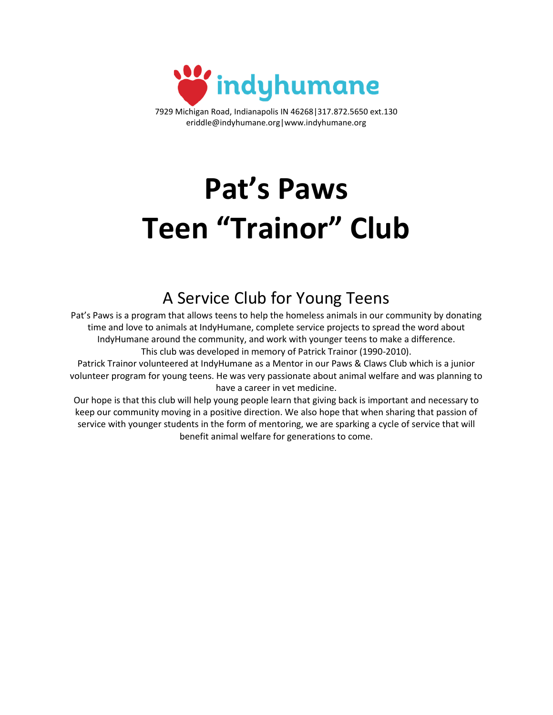

7929 Michigan Road, Indianapolis IN 46268|317.872.5650 ext.130 eriddle@indyhumane.org|www.indyhumane.org

# **Pat's Paws Teen "Trainor" Club**

## A Service Club for Young Teens

Pat's Paws is a program that allows teens to help the homeless animals in our community by donating time and love to animals at IndyHumane, complete service projects to spread the word about IndyHumane around the community, and work with younger teens to make a difference. This club was developed in memory of Patrick Trainor (1990-2010).

Patrick Trainor volunteered at IndyHumane as a Mentor in our Paws & Claws Club which is a junior volunteer program for young teens. He was very passionate about animal welfare and was planning to have a career in vet medicine.

Our hope is that this club will help young people learn that giving back is important and necessary to keep our community moving in a positive direction. We also hope that when sharing that passion of service with younger students in the form of mentoring, we are sparking a cycle of service that will benefit animal welfare for generations to come.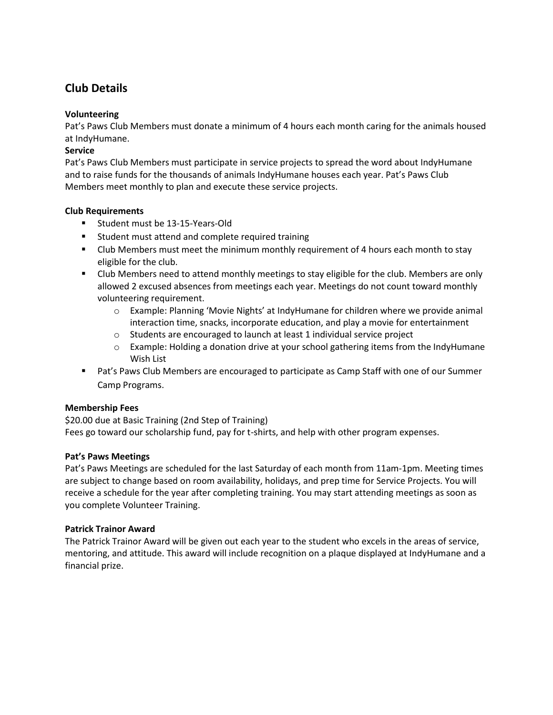### **Club Details**

#### **Volunteering**

Pat's Paws Club Members must donate a minimum of 4 hours each month caring for the animals housed at IndyHumane.

#### **Service**

Pat's Paws Club Members must participate in service projects to spread the word about IndyHumane and to raise funds for the thousands of animals IndyHumane houses each year. Pat's Paws Club Members meet monthly to plan and execute these service projects.

#### **Club Requirements**

- Student must be 13-15-Years-Old
- Student must attend and complete required training
- Club Members must meet the minimum monthly requirement of 4 hours each month to stay eligible for the club.
- Club Members need to attend monthly meetings to stay eligible for the club. Members are only allowed 2 excused absences from meetings each year. Meetings do not count toward monthly volunteering requirement.
	- o Example: Planning 'Movie Nights' at IndyHumane for children where we provide animal interaction time, snacks, incorporate education, and play a movie for entertainment
	- $\circ$  Students are encouraged to launch at least 1 individual service project
	- o Example: Holding a donation drive at your school gathering items from the IndyHumane Wish List
- Pat's Paws Club Members are encouraged to participate as Camp Staff with one of our Summer Camp Programs.

#### **Membership Fees**

\$20.00 due at Basic Training (2nd Step of Training) Fees go toward our scholarship fund, pay for t-shirts, and help with other program expenses.

#### **Pat's Paws Meetings**

Pat's Paws Meetings are scheduled for the last Saturday of each month from 11am-1pm. Meeting times are subject to change based on room availability, holidays, and prep time for Service Projects. You will receive a schedule for the year after completing training. You may start attending meetings as soon as you complete Volunteer Training.

#### **Patrick Trainor Award**

The Patrick Trainor Award will be given out each year to the student who excels in the areas of service, mentoring, and attitude. This award will include recognition on a plaque displayed at IndyHumane and a financial prize.